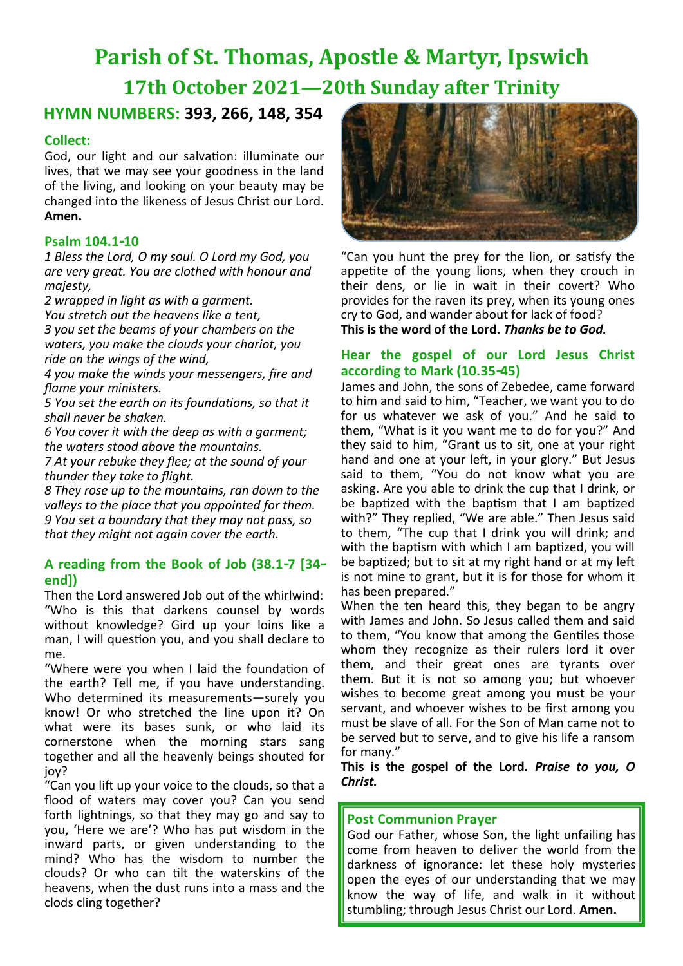# **Parish of St. Thomas, Apostle & Martyr, Ipswich 17th October 2021—20th Sunday after Trinity**

# **HYMN NUMBERS: 393, 266, 148, 354**

#### **Collect:**

God, our light and our salvation: illuminate our lives, that we may see your goodness in the land of the living, and looking on your beauty may be changed into the likeness of Jesus Christ our Lord. **Amen.**

#### **Psalm 104.1-10**

*1 Bless the Lord, O my soul. O Lord my God, you are very great. You are clothed with honour and majesty,*

*2 wrapped in light as with a garment. You stretch out the heavens like a tent,*

*3 you set the beams of your chambers on the waters, you make the clouds your chariot, you ride on the wings of the wind,*

*4 you make the winds your messengers, fire and flame your ministers.*

*5 You set the earth on its foundations, so that it shall never be shaken.*

*6 You cover it with the deep as with a garment; the waters stood above the mountains.*

*7 At your rebuke they flee; at the sound of your thunder they take to flight.*

*8 They rose up to the mountains, ran down to the valleys to the place that you appointed for them. 9 You set a boundary that they may not pass, so that they might not again cover the earth.*

#### **A reading from the Book of Job (38.1-7 [34 end])**

Then the Lord answered Job out of the whirlwind: "Who is this that darkens counsel by words without knowledge? Gird up your loins like a man, I will question you, and you shall declare to me.

"Where were you when I laid the foundation of the earth? Tell me, if you have understanding. Who determined its measurements—surely you know! Or who stretched the line upon it? On what were its bases sunk, or who laid its cornerstone when the morning stars sang together and all the heavenly beings shouted for joy?

"Can you lift up your voice to the clouds, so that a flood of waters may cover you? Can you send forth lightnings, so that they may go and say to you, 'Here we are'? Who has put wisdom in the inward parts, or given understanding to the mind? Who has the wisdom to number the clouds? Or who can tilt the waterskins of the heavens, when the dust runs into a mass and the clods cling together?



"Can you hunt the prey for the lion, or satisfy the appetite of the young lions, when they crouch in their dens, or lie in wait in their covert? Who provides for the raven its prey, when its young ones cry to God, and wander about for lack of food? **This is the word of the Lord.** *Thanks be to God.*

#### **Hear the gospel of our Lord Jesus Christ according to Mark (10.35-45)**

James and John, the sons of Zebedee, came forward to him and said to him, "Teacher, we want you to do for us whatever we ask of you." And he said to them, "What is it you want me to do for you?" And they said to him, "Grant us to sit, one at your right hand and one at your left, in your glory." But Jesus said to them, "You do not know what you are asking. Are you able to drink the cup that I drink, or be baptized with the baptism that I am baptized with?" They replied, "We are able." Then Jesus said to them, "The cup that I drink you will drink; and with the baptism with which I am baptized, you will be baptized; but to sit at my right hand or at my left is not mine to grant, but it is for those for whom it has been prepared."

When the ten heard this, they began to be angry with James and John. So Jesus called them and said to them, "You know that among the Gentiles those whom they recognize as their rulers lord it over them, and their great ones are tyrants over them. But it is not so among you; but whoever wishes to become great among you must be your servant, and whoever wishes to be first among you must be slave of all. For the Son of Man came not to be served but to serve, and to give his life a ransom for many."

**This is the gospel of the Lord.** *Praise to you, O Christ.*

#### **Post Communion Prayer**

God our Father, whose Son, the light unfailing has come from heaven to deliver the world from the darkness of ignorance: let these holy mysteries open the eyes of our understanding that we may know the way of life, and walk in it without stumbling; through Jesus Christ our Lord. **Amen.**